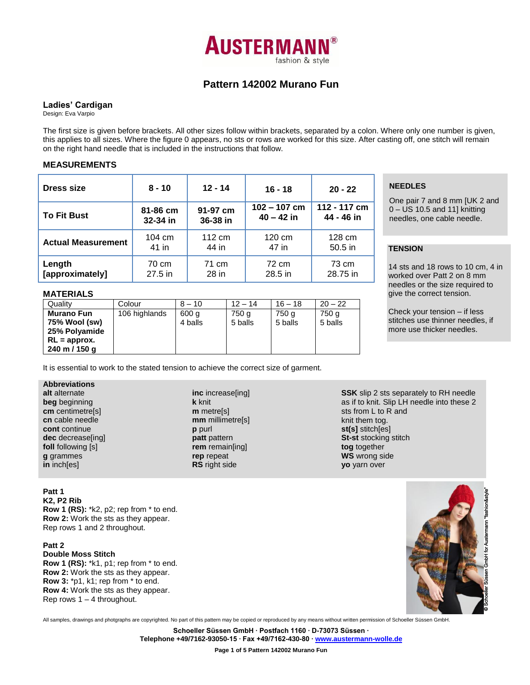

# **Pattern 142002 Murano Fun**

## **Ladies' Cardigan**

Design: Eva Varpio

The first size is given before brackets. All other sizes follow within brackets, separated by a colon. Where only one number is given, this applies to all sizes. Where the figure 0 appears, no sts or rows are worked for this size. After casting off, one stitch will remain on the right hand needle that is included in the instructions that follow.

## **MEASUREMENTS**

| <b>Dress size</b>         | $8 - 10$         | $12 - 14$ | $16 - 18$        | $20 - 22$        |  |  |  |
|---------------------------|------------------|-----------|------------------|------------------|--|--|--|
| <b>To Fit Bust</b>        | 81-86 cm         | 91-97 cm  | $102 - 107$ cm   | 112 - 117 cm     |  |  |  |
|                           | 32-34 in         | 36-38 in  | $40 - 42$ in     | 44 - 46 in       |  |  |  |
| <b>Actual Measurement</b> | $104 \text{ cm}$ | 112 cm    | $120 \text{ cm}$ | $128 \text{ cm}$ |  |  |  |
|                           | 41 in            | 44 in     | 47 in            | $50.5$ in        |  |  |  |
| Length                    | 70 cm            | 71 cm     | 72 cm            | 73 cm            |  |  |  |
| [approximately]           | 27.5 in          | 28 in     | 28.5 in          | 28.75 in         |  |  |  |

## **NEEDLES**

One pair 7 and 8 mm [UK 2 and 0 – US 10.5 and 11] knitting needles, one cable needle.

## **TENSION**

One

14 sts and 18 rows to 10 cm, 4 in worked over Patt 2 on 8 mm needles or the size required to give the correct tension.

Check your tension – if less stitches use thinner needles, if more use thicker needles.

## **MATERIALS**

| Quality           | Colour        | $8 - 10$ | $12 - 14$ | $16 - 18$ | $20 - 22$ |
|-------------------|---------------|----------|-----------|-----------|-----------|
| <b>Murano Fun</b> | 106 highlands | 600 g    | 750 a     | 750 a     | 750 g     |
| 75% Wool (sw)     |               | 4 balls  | 5 balls   | 5 balls   | 5 balls   |
| 25% Polyamide     |               |          |           |           |           |
| $RL =$ approx.    |               |          |           |           |           |
| 240 m / 150 g     |               |          |           |           |           |

It is essential to work to the stated tension to achieve the correct size of garment.

## **Abbreviations**

| alt alternate      |
|--------------------|
| beg beginning      |
| cm centimetre[s]   |
| cn cable needle    |
| cont continue      |
| dec decrease[ing]  |
| foll following [s] |
| g grammes          |
| in inch[es]        |
|                    |

#### **inc** increase[ing] **k** knit **m** metre[s] **mm** millimetre[s] **p** purl **patt** pattern **rem** remain[ing] **rep** repeat **RS** right side

**SSK** slip 2 sts separately to RH needle as if to knit. Slip LH needle into these 2 sts from L to R and knit them tog. **st(s]** stitch[es] **St-st** stocking stitch **tog** together **WS** wrong side **yo** yarn over

## **Patt 1**

**K2, P2 Rib Row 1 (RS):** \*k2, p2; rep from \* to end. **Row 2:** Work the sts as they appear. Rep rows 1 and 2 throughout.

## **Patt 2**

**Double Moss Stitch Row 1 (RS):** \*k1, p1; rep from \* to end. **Row 2:** Work the sts as they appear. **Row 3:** \*p1, k1; rep from \* to end. **Row 4:** Work the sts as they appear. Rep rows  $1 - 4$  throughout.



All samples, drawings and photgraphs are copyrighted. No part of this pattern may be copied or reproduced by any means without written permission of Schoeller Süssen GmbH.

**Schoeller Süssen GmbH ∙ Postfach 1160 ∙ D-73073 Süssen ∙ Telephone +49/7162-93050-15 ∙ Fax +49/7162-430-80 [∙ www.austermann-wolle.de](http://www.austermann-wolle.de/)**

**Page 1 of 5 Pattern 142002 Murano Fun**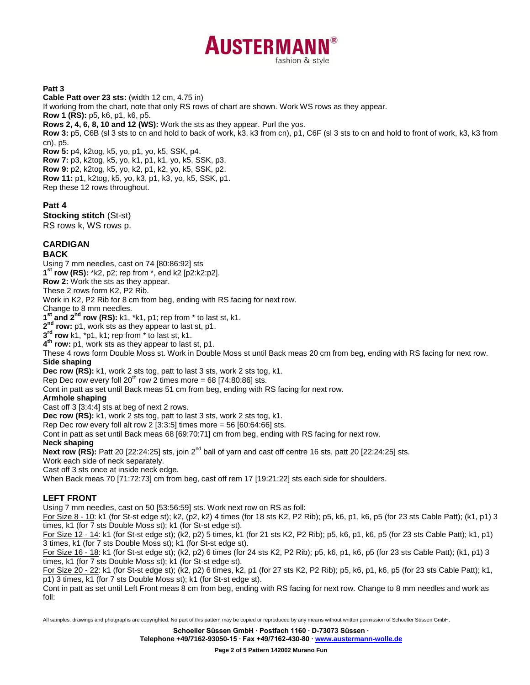

## **Patt 3**

**Cable Patt over 23 sts:** (width 12 cm, 4.75 in) If working from the chart, note that only RS rows of chart are shown. Work WS rows as they appear. **Row 1 (RS):** p5, k6, p1, k6, p5. **Rows 2, 4, 6, 8, 10 and 12 (WS):** Work the sts as they appear. Purl the yos. **Row 3:** p5, C6B (sl 3 sts to cn and hold to back of work, k3, k3 from cn), p1, C6F (sl 3 sts to cn and hold to front of work, k3, k3 from cn), p5. **Row 5:** p4, k2tog, k5, yo, p1, yo, k5, SSK, p4. **Row 7:** p3, k2tog, k5, yo, k1, p1, k1, yo, k5, SSK, p3. **Row 9:** p2, k2tog, k5, yo, k2, p1, k2, yo, k5, SSK, p2. **Row 11:** p1, k2tog, k5, yo, k3, p1, k3, yo, k5, SSK, p1. Rep these 12 rows throughout. **Patt 4**

**Stocking stitch** (St-st) RS rows k, WS rows p.

# **CARDIGAN**

## **BACK**

Using 7 mm needles, cast on 74 [80:86:92] sts

**1 st row (RS):** \*k2, p2; rep from \*, end k2 [p2:k2:p2].

**Row 2:** Work the sts as they appear.

These 2 rows form K2, P2 Rib.

Work in K2, P2 Rib for 8 cm from beg, ending with RS facing for next row.

Change to 8 mm needles.

**1 st and 2nd row (RS):** k1, \*k1, p1; rep from \* to last st, k1.

**2 nd row:** p1, work sts as they appear to last st, p1.

**3 rd row** k1, \*p1, k1; rep from \* to last st, k1.

**4 th row:** p1, work sts as they appear to last st, p1.

These 4 rows form Double Moss st. Work in Double Moss st until Back meas 20 cm from beg, ending with RS facing for next row. **Side shaping**

**Dec row (RS):** k1, work 2 sts tog, patt to last 3 sts, work 2 sts tog, k1.

Rep Dec row every foll 20<sup>th</sup> row 2 times more = 68 [74:80:86] sts.

Cont in patt as set until Back meas 51 cm from beg, ending with RS facing for next row.

### **Armhole shaping**

Cast off 3 [3:4:4] sts at beg of next 2 rows.

**Dec row (RS):** k1, work 2 sts tog, patt to last 3 sts, work 2 sts tog, k1.

Rep Dec row every foll alt row 2  $[3:3:5]$  times more = 56  $[60:64:66]$  sts.

Cont in patt as set until Back meas 68 [69:70:71] cm from beg, ending with RS facing for next row.

#### **Neck shaping**

**Next row (RS):** Patt 20 [22:24:25] sts, join 2<sup>nd</sup> ball of yarn and cast off centre 16 sts, patt 20 [22:24:25] sts.

Work each side of neck separately.

Cast off 3 sts once at inside neck edge.

When Back meas 70 [71:72:73] cm from beg, cast off rem 17 [19:21:22] sts each side for shoulders.

## **LEFT FRONT**

Using 7 mm needles, cast on 50 [53:56:59] sts. Work next row on RS as foll:

For Size 8 - 10: k1 (for St-st edge st); k2, (p2, k2) 4 times (for 18 sts K2, P2 Rib); p5, k6, p1, k6, p5 (for 23 sts Cable Patt); (k1, p1) 3 times, k1 (for 7 sts Double Moss st); k1 (for St-st edge st).

For Size 12 - 14: k1 (for St-st edge st); (k2, p2) 5 times, k1 (for 21 sts K2, P2 Rib); p5, k6, p1, k6, p5 (for 23 sts Cable Patt); k1, p1) 3 times, k1 (for 7 sts Double Moss st); k1 (for St-st edge st).

For Size 16 - 18: k1 (for St-st edge st); (k2, p2) 6 times (for 24 sts K2, P2 Rib); p5, k6, p1, k6, p5 (for 23 sts Cable Patt); (k1, p1) 3 times, k1 (for 7 sts Double Moss st); k1 (for St-st edge st).

For Size 20 - 22: k1 (for St-st edge st); (k2, p2) 6 times, k2, p1 (for 27 sts K2, P2 Rib); p5, k6, p1, k6, p5 (for 23 sts Cable Patt); k1, p1) 3 times, k1 (for 7 sts Double Moss st); k1 (for St-st edge st).

Cont in patt as set until Left Front meas 8 cm from beg, ending with RS facing for next row. Change to 8 mm needles and work as foll:

All samples, drawings and photgraphs are copyrighted. No part of this pattern may be copied or reproduced by any means without written permission of Schoeller Süssen GmbH.

**Schoeller Süssen GmbH ∙ Postfach 1160 ∙ D-73073 Süssen ∙**

**Telephone +49/7162-93050-15 ∙ Fax +49/7162-430-80 [∙ www.austermann-wolle.de](http://www.austermann-wolle.de/)**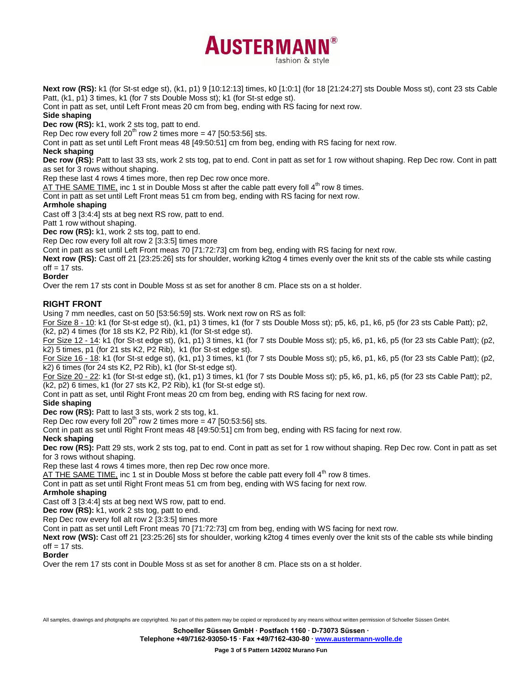**Next row (RS):** k1 (for St-st edge st), (k1, p1) 9 [10:12:13] times, k0 [1:0:1] (for 18 [21:24:27] sts Double Moss st), cont 23 sts Cable Patt, (k1, p1) 3 times, k1 (for 7 sts Double Moss st); k1 (for St-st edge st).

fashion & style

**AUSTERMANN** 

Cont in patt as set, until Left Front meas 20 cm from beg, ending with RS facing for next row.

## **Side shaping**

**Dec row (RS):** k1, work 2 sts tog, patt to end.

Rep Dec row every foll  $20^{th}$  row 2 times more = 47 [50:53:56] sts.

Cont in patt as set until Left Front meas 48 [49:50:51] cm from beg, ending with RS facing for next row.

# **Neck shaping**

**Dec row (RS):** Patt to last 33 sts, work 2 sts tog, pat to end. Cont in patt as set for 1 row without shaping. Rep Dec row. Cont in patt as set for 3 rows without shaping.

Rep these last 4 rows 4 times more, then rep Dec row once more.

AT THE SAME TIME, inc 1 st in Double Moss st after the cable patt every foll  $4<sup>th</sup>$  row 8 times.

Cont in patt as set until Left Front meas 51 cm from beg, ending with RS facing for next row.

## **Armhole shaping**

Cast off 3 [3:4:4] sts at beg next RS row, patt to end.

Patt 1 row without shaping.

**Dec row (RS):** k1, work 2 sts tog, patt to end.

Rep Dec row every foll alt row 2 [3:3:5] times more

Cont in patt as set until Left Front meas 70 [71:72:73] cm from beg, ending with RS facing for next row.

**Next row (RS):** Cast off 21 [23:25:26] sts for shoulder, working k2tog 4 times evenly over the knit sts of the cable sts while casting  $oft = 17$  sts.

## **Border**

Over the rem 17 sts cont in Double Moss st as set for another 8 cm. Place sts on a st holder.

## **RIGHT FRONT**

Using 7 mm needles, cast on 50 [53:56:59] sts. Work next row on RS as foll:

For Size 8 - 10: k1 (for St-st edge st), (k1, p1) 3 times, k1 (for 7 sts Double Moss st); p5, k6, p1, k6, p5 (for 23 sts Cable Patt); p2, (k2, p2) 4 times (for 18 sts K2, P2 Rib), k1 (for St-st edge st).

For Size 12 - 14: k1 (for St-st edge st), (k1, p1) 3 times, k1 (for 7 sts Double Moss st); p5, k6, p1, k6, p5 (for 23 sts Cable Patt); (p2, k2) 5 times, p1 (for 21 sts K2, P2 Rib), k1 (for St-st edge st).

For Size 16 - 18: k1 (for St-st edge st), (k1, p1) 3 times, k1 (for 7 sts Double Moss st); p5, k6, p1, k6, p5 (for 23 sts Cable Patt); (p2, k2) 6 times (for 24 sts K2, P2 Rib), k1 (for St-st edge st).

For Size 20 - 22: k1 (for St-st edge st), (k1, p1) 3 times, k1 (for 7 sts Double Moss st); p5, k6, p1, k6, p5 (for 23 sts Cable Patt); p2, (k2, p2) 6 times, k1 (for 27 sts K2, P2 Rib), k1 (for St-st edge st).

Cont in patt as set, until Right Front meas 20 cm from beg, ending with RS facing for next row.

## **Side shaping**

**Dec row (RS):** Patt to last 3 sts, work 2 sts tog, k1.

Rep Dec row every foll  $20^{th}$  row 2 times more = 47 [50:53:56] sts.

Cont in patt as set until Right Front meas 48 [49:50:51] cm from beg, ending with RS facing for next row.

#### **Neck shaping**

**Dec row (RS):** Patt 29 sts, work 2 sts tog, pat to end. Cont in patt as set for 1 row without shaping. Rep Dec row. Cont in patt as set for 3 rows without shaping.

Rep these last 4 rows 4 times more, then rep Dec row once more.

AT THE SAME TIME, inc 1 st in Double Moss st before the cable patt every foll  $4<sup>th</sup>$  row 8 times.

Cont in patt as set until Right Front meas 51 cm from beg, ending with WS facing for next row.

#### **Armhole shaping**

Cast off 3 [3:4:4] sts at beg next WS row, patt to end.

**Dec row (RS):** k1, work 2 sts tog, patt to end.

Rep Dec row every foll alt row 2 [3:3:5] times more

Cont in patt as set until Left Front meas 70 [71:72:73] cm from beg, ending with WS facing for next row.

**Next row (WS):** Cast off 21 [23:25:26] sts for shoulder, working k2tog 4 times evenly over the knit sts of the cable sts while binding  $off = 17$  sts.

**Border**

Over the rem 17 sts cont in Double Moss st as set for another 8 cm. Place sts on a st holder.

All samples, drawings and photgraphs are copyrighted. No part of this pattern may be copied or reproduced by any means without written permission of Schoeller Süssen GmbH.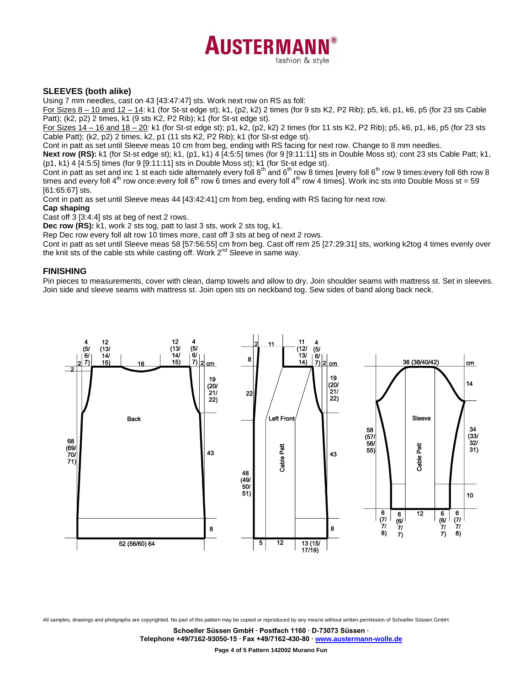

## **SLEEVES (both alike)**

Using 7 mm needles, cast on 43 [43:47:47] sts. Work next row on RS as foll:

For Sizes 8 – 10 and 12 – 14: k1 (for St-st edge st); k1, (p2, k2) 2 times (for 9 sts K2, P2 Rib); p5, k6, p1, k6, p5 (for 23 sts Cable Patt); (k2, p2) 2 times, k1 (9 sts K2, P2 Rib); k1 (for St-st edge st).

For Sizes 14 – 16 and 18 – 20: k1 (for St-st edge st); p1, k2, (p2, k2) 2 times (for 11 sts K2, P2 Rib); p5, k6, p1, k6, p5 (for 23 sts Cable Patt); (k2, p2) 2 times, k2, p1 (11 sts K2, P2 Rib); k1 (for St-st edge st).

Cont in patt as set until Sleeve meas 10 cm from beg, ending with RS facing for next row. Change to 8 mm needles.

Next row (RS): k1 (for St-st edge st); k1, (p1, k1) 4 [4:5:5] times (for 9 [9:11:11] sts in Double Moss st); cont 23 sts Cable Patt; k1, (p1, k1) 4 [4:5:5] times (for 9 [9:11:11] sts in Double Moss st); k1 (for St-st edge st).

Cont in patt as set and inc 1 st each side alternately every foll 8<sup>th</sup> and 6<sup>th</sup> row 8 times [every foll 6<sup>th</sup> row 9 times: every foll 6th row 8 times and every foll  $4^{\text{th}}$  row once:every foll  $6^{\text{th}}$  row 6 times and every foll  $4^{\text{th}}$  row 4 times]. Work inc sts into Double Moss st = 59 [61:65:67] sts.

Cont in patt as set until Sleeve meas 44 [43:42:41] cm from beg, ending with RS facing for next row.

#### **Cap shaping**

Cast off 3 [3:4:4] sts at beg of next 2 rows.

**Dec row (RS):** k1, work 2 sts tog, patt to last 3 sts, work 2 sts tog, k1.

Rep Dec row every foll alt row 10 times more, cast off 3 sts at beg of next 2 rows.

Cont in patt as set until Sleeve meas 58 [57:56:55] cm from beg. Cast off rem 25 [27:29:31] sts, working k2tog 4 times evenly over the knit sts of the cable sts while casting off. Work 2<sup>nd</sup> Sleeve in same way.

#### **FINISHING**

Pin pieces to measurements, cover with clean, damp towels and allow to dry. Join shoulder seams with mattress st. Set in sleeves. Join side and sleeve seams with mattress st. Join open sts on neckband tog. Sew sides of band along back neck.



All samples, drawings and photgraphs are copyrighted. No part of this pattern may be copied or reproduced by any means without written permission of Schoeller Süssen GmbH.

**Schoeller Süssen GmbH ∙ Postfach 1160 ∙ D-73073 Süssen ∙**

**Telephone +49/7162-93050-15 ∙ Fax +49/7162-430-80 [∙ www.austermann-wolle.de](http://www.austermann-wolle.de/)**

**Page 4 of 5 Pattern 142002 Murano Fun**